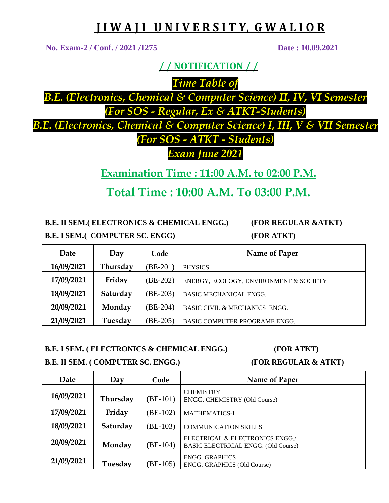## **J I W A J I U N I V E R S I T Y, G W A L I O R**

**No. Exam-2 / Conf. / 2021 /1275 Date : 10.09.2021**

**/ / NOTIFICATION / /**

*Time Table of* 

*B.E. (Electronics, Chemical & Computer Science) II, IV, VI Semester (For SOS - Regular, Ex & ATKT-Students)* 

*B.E. (Electronics, Chemical & Computer Science) I, III, V & VII Semester (For SOS - ATKT - Students)* 

*Exam June 2021*

**Examination Time : 11:00 A.M. to 02:00 P.M.**

**Total Time : 10:00 A.M. To 03:00 P.M.**

**B.E. II SEM.( ELECTRONICS & CHEMICAL ENGG.) (FOR REGULAR &ATKT)**

| <b>B.E. I SEM.( COMPUTER SC. ENGG)</b> |  |  |  |
|----------------------------------------|--|--|--|
|----------------------------------------|--|--|--|

**B.E. I SEM.( COMPUTER SC. ENGG) (FOR ATKT)**

| Date       | Day      | Code       | Name of Paper                            |
|------------|----------|------------|------------------------------------------|
| 16/09/2021 | Thursday | (BE-201)   | <b>PHYSICS</b>                           |
| 17/09/2021 | Friday   | $(BE-202)$ | ENERGY, ECOLOGY, ENVIRONMENT & SOCIETY   |
| 18/09/2021 | Saturday | (BE-203)   | <b>BASIC MECHANICAL ENGG.</b>            |
| 20/09/2021 | Monday   | (BE-204)   | <b>BASIC CIVIL &amp; MECHANICS ENGG.</b> |
| 21/09/2021 | Tuesday  | (BE-205)   | BASIC COMPUTER PROGRAME ENGG.            |

## **B.E. I SEM. ( ELECTRONICS & CHEMICAL ENGG.) (FOR ATKT)**

**B.E. II SEM. ( COMPUTER SC. ENGG.) (FOR REGULAR & ATKT)**

| Date       | Day      | Code     | Name of Paper                                                                 |
|------------|----------|----------|-------------------------------------------------------------------------------|
| 16/09/2021 | Thursday | (BE-101) | <b>CHEMISTRY</b><br>ENGG. CHEMISTRY (Old Course)                              |
| 17/09/2021 | Friday   | (BE-102) | <b>MATHEMATICS-I</b>                                                          |
| 18/09/2021 | Saturday | (BE-103) | <b>COMMUNICATION SKILLS</b>                                                   |
| 20/09/2021 | Monday   | (BE-104) | ELECTRICAL & ELECTRONICS ENGG./<br><b>BASIC ELECTRICAL ENGG. (Old Course)</b> |
| 21/09/2021 | Tuesday  | $BE-105$ | <b>ENGG. GRAPHICS</b><br>ENGG. GRAPHICS (Old Course)                          |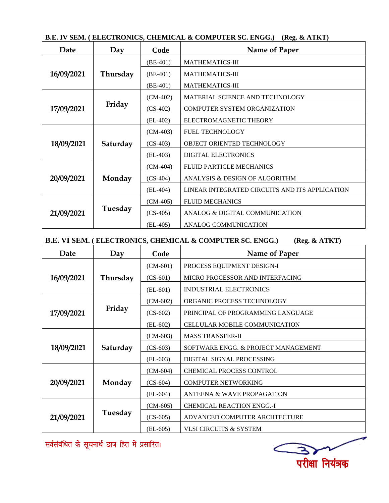| B.E. IV SEM. (ELECTRONICS, CHEMICAL & COMPUTER SC. ENGG.) (Reg. & ATKT) |
|-------------------------------------------------------------------------|
|-------------------------------------------------------------------------|

| Date                 | Day      | Code       | Name of Paper                                  |
|----------------------|----------|------------|------------------------------------------------|
|                      |          | $(BE-401)$ | <b>MATHEMATICS-III</b>                         |
| 16/09/2021           | Thursday | $(BE-401)$ | <b>MATHEMATICS-III</b>                         |
|                      |          | $(BE-401)$ | <b>MATHEMATICS-III</b>                         |
| Friday<br>17/09/2021 |          | $(CM-402)$ | MATERIAL SCIENCE AND TECHNOLOGY                |
|                      |          | $(CS-402)$ | <b>COMPUTER SYSTEM ORGANIZATION</b>            |
|                      |          | $(EL-402)$ | ELECTROMAGNETIC THEORY                         |
|                      |          | $(CM-403)$ | <b>FUEL TECHNOLOGY</b>                         |
| 18/09/2021           | Saturday | $(CS-403)$ | OBJECT ORIENTED TECHNOLOGY                     |
|                      |          | $(EL-403)$ | <b>DIGITAL ELECTRONICS</b>                     |
|                      |          | $(CM-404)$ | <b>FLUID PARTICLE MECHANICS</b>                |
| 20/09/2021           | Monday   | $(CS-404)$ | ANALYSIS & DESIGN OF ALGORITHM                 |
|                      |          | $(EL-404)$ | LINEAR INTEGRATED CIRCUITS AND ITS APPLICATION |
| 21/09/2021           | Tuesday  | $(CM-405)$ | <b>FLUID MECHANICS</b>                         |
|                      |          | $(CS-405)$ | ANALOG & DIGITAL COMMUNICATION                 |
|                      |          | $(EL-405)$ | ANALOG COMMUNICATION                           |

## **B.E. VI SEM. ( ELECTRONICS, CHEMICAL & COMPUTER SC. ENGG.) (Reg. & ATKT)**

| Date                 | Day      | Code       | Name of Paper                        |  |
|----------------------|----------|------------|--------------------------------------|--|
|                      |          | $(CM-601)$ | PROCESS EQUIPMENT DESIGN-I           |  |
| 16/09/2021           | Thursday | $(CS-601)$ | MICRO PROCESSOR AND INTERFACING      |  |
|                      |          | $(EL-601)$ | INDUSTRIAL ELECTRONICS               |  |
| Friday<br>17/09/2021 |          | $(CM-602)$ | ORGANIC PROCESS TECHNOLOGY           |  |
|                      |          | $(CS-602)$ | PRINCIPAL OF PROGRAMMING LANGUAGE    |  |
|                      |          | $(EL-602)$ | <b>CELLULAR MOBILE COMMUNICATION</b> |  |
|                      |          | $(CM-603)$ | <b>MASS TRANSFER-II</b>              |  |
| 18/09/2021           | Saturday | $(CS-603)$ | SOFTWARE ENGG. & PROJECT MANAGEMENT  |  |
|                      |          | $(EL-603)$ | DIGITAL SIGNAL PROCESSING            |  |
|                      |          | $(CM-604)$ | CHEMICAL PROCESS CONTROL             |  |
| 20/09/2021           | Monday   | $(CS-604)$ | <b>COMPUTER NETWORKING</b>           |  |
|                      |          | $(EL-604)$ | ANTEENA & WAVE PROPAGATION           |  |
| 21/09/2021           | Tuesday  | $(CM-605)$ | <b>CHEMICAL REACTION ENGG.-I</b>     |  |
|                      |          | $(CS-605)$ | ADVANCED COMPUTER ARCHTECTURE        |  |
|                      |          | $(EL-605)$ | <b>VLSI CIRCUITS &amp; SYSTEM</b>    |  |

सर्वसंबंधित के सूचनार्थ छात्र हित में प्रसारित।